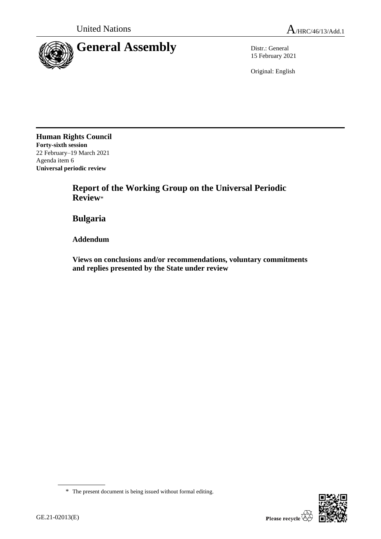

15 February 2021

Original: English

**Human Rights Council Forty-sixth session** 22 February–19 March 2021 Agenda item 6 **Universal periodic review**

> **Report of the Working Group on the Universal Periodic Review**\*

**Bulgaria**

**Addendum**

**Views on conclusions and/or recommendations, voluntary commitments and replies presented by the State under review**



<sup>\*</sup> The present document is being issued without formal editing.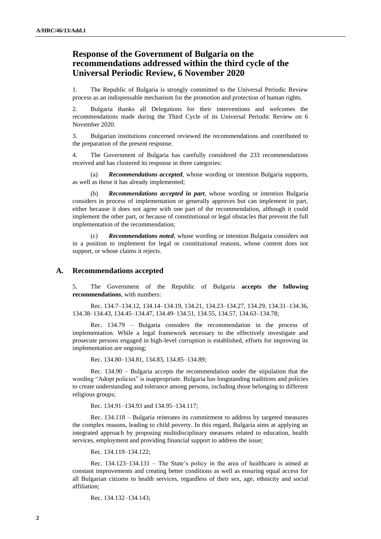## **Response of the Government of Bulgaria on the recommendations addressed within the third cycle of the Universal Periodic Review, 6 November 2020**

1. The Republic of Bulgaria is strongly committed to the Universal Periodic Review process as an indispensable mechanism for the promotion and protection of human rights.

2. Bulgaria thanks all Delegations for their interventions and welcomes the recommendations made during the Third Cycle of its Universal Periodic Review on 6 November 2020.

3. Bulgarian institutions concerned reviewed the recommendations and contributed to the preparation of the present response.

4. The Government of Bulgaria has carefully considered the 233 recommendations received and has clustered its response in three categories:

(a) *Recommendations accepted*, whose wording or intention Bulgaria supports, as well as those it has already implemented;

(b) *Recommendations accepted in part*, whose wording or intention Bulgaria considers in process of implementation or generally approves but can implement in part, either because it does not agree with one part of the recommendation, although it could implement the other part, or because of constitutional or legal obstacles that prevent the full implementation of the recommendation;

(c) *Recommendations noted*, whose wording or intention Bulgaria considers not in a position to implement for legal or constitutional reasons, whose content does not support, or whose claims it rejects.

## **A. Recommendations accepted**

5. The Government of the Republic of Bulgaria **accepts the following recommendations**, with numbers:

Rec. 134.7–134.12, 134.14–134.19, 134.21, 134.23–134.27, 134.29, 134.31–134.36, 134.38–134.43, 134.45–134.47, 134.49–134.51, 134.55, 134.57, 134.63–134.78;

Rec. 134.79 – Bulgaria considers the recommendation in the process of implementation. While a legal framework necessary to the effectively investigate and prosecute persons engaged in high-level corruption is established, efforts for improving its implementation are ongoing;

Rec. 134.80–134.81, 134.83, 134.85–134.89;

Rec. 134.90 – Bulgaria accepts the recommendation under the stipulation that the wording "Adopt policies" is inappropriate. Bulgaria has longstanding traditions and policies to create understanding and tolerance among persons, including those belonging to different religious groups;

Rec. 134.91–134.93 and 134.95–134.117;

Rec. 134.118 – Bulgaria reiterates its commitment to address by targeted measures the complex reasons, leading to child poverty. In this regard, Bulgaria aims at applying an integrated approach by proposing multidisciplinary measures related to education, health services, employment and providing financial support to address the issue;

Rec. 134.119–134.122;

Rec. 134.123–134.131 – The State's policy in the area of healthcare is aimed at constant improvements and creating better conditions as well as ensuring equal access for all Bulgarian citizens to health services, regardless of their sex, age, ethnicity and social affiliation;

Rec. 134.132–134.143;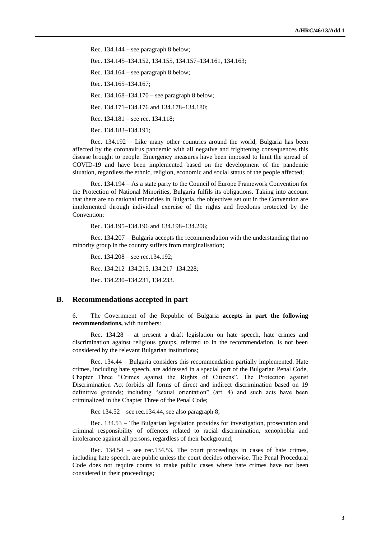Rec. 134.144 – see paragraph 8 below;

Rec. 134.145–134.152, 134.155, 134.157–134.161, 134.163;

Rec. 134.164 – see paragraph 8 below;

Rec. 134.165–134.167;

Rec. 134.168–134.170 – see paragraph 8 below;

Rec. 134.171–134.176 and 134.178–134.180;

Rec. 134.181 – see rec. 134.118;

Rec. 134.183–134.191;

Rec. 134.192 – Like many other countries around the world, Bulgaria has been affected by the coronavirus pandemic with all negative and frightening consequences this disease brought to people. Emergency measures have been imposed to limit the spread of COVID-19 and have been implemented based on the development of the pandemic situation, regardless the ethnic, religion, economic and social status of the people affected;

Rec. 134.194 – As a state party to the Council of Europe Framework Convention for the Protection of National Minorities, Bulgaria fulfils its obligations. Taking into account that there are no national minorities in Bulgaria, the objectives set out in the Convention are implemented through individual exercise of the rights and freedoms protected by the Convention;

Rec. 134.195–134.196 and 134.198–134.206;

Rec. 134.207 – Bulgaria accepts the recommendation with the understanding that no minority group in the country suffers from marginalisation;

Rec. 134.208 – see rec.134.192; Rec. 134.212–134.215, 134.217–134.228; Rec. 134.230–134.231, 134.233.

## **B. Recommendations accepted in part**

6. The Government of the Republic of Bulgaria **accepts in part the following recommendations,** with numbers:

Rec. 134.28 – at present a draft legislation on hate speech, hate crimes and discrimination against religious groups, referred to in the recommendation, is not been considered by the relevant Bulgarian institutions;

Rec. 134.44 – Bulgaria considers this recommendation partially implemented. Hate crimes, including hate speech, are addressed in a special part of the Bulgarian Penal Code, Chapter Three "Crimes against the Rights of Citizens". The Protection against Discrimination Act forbids all forms of direct and indirect discrimination based on 19 definitive grounds; including "sexual orientation" (art. 4) and such acts have been criminalized in the Chapter Three of the Penal Code;

Rec 134.52 – see rec.134.44, see also paragraph 8;

Rec. 134.53 – The Bulgarian legislation provides for investigation, prosecution and criminal responsibility of offences related to racial discrimination, xenophobia and intolerance against all persons, regardless of their background;

Rec. 134.54 – see rec.134.53. The court proceedings in cases of hate crimes, including hate speech, are public unless the court decides otherwise. The Penal Procedural Code does not require courts to make public cases where hate crimes have not been considered in their proceedings;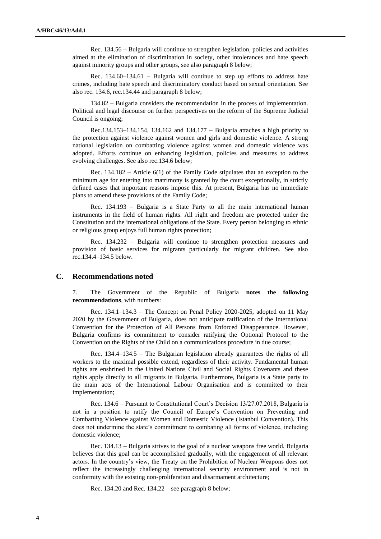Rec. 134.56 – Bulgaria will continue to strengthen legislation, policies and activities aimed at the elimination of discrimination in society, other intolerances and hate speech against minority groups and other groups, see also paragraph 8 below;

Rec. 134.60–134.61 – Bulgaria will continue to step up efforts to address hate crimes, including hate speech and discriminatory conduct based on sexual orientation. See also rec. 134.6, rec.134.44 and paragraph 8 below;

134.82 – Bulgaria considers the recommendation in the process of implementation. Political and legal discourse on further perspectives on the reform of the Supreme Judicial Council is ongoing;

Rec.134.153–134.154, 134.162 and 134.177 – Bulgaria attaches a high priority to the protection against violence against women and girls and domestic violence. A strong national legislation on combatting violence against women and domestic violence was adopted. Efforts continue on enhancing legislation, policies and measures to address evolving challenges. See also rec.134.6 below;

Rec. 134.182 – Article 6(1) of the Family Code stipulates that an exception to the minimum age for entering into matrimony is granted by the court exceptionally, in strictly defined cases that important reasons impose this. At present, Bulgaria has no immediate plans to amend these provisions of the Family Code;

Rec. 134.193 – Bulgaria is a State Party to all the main international human instruments in the field of human rights. All right and freedom are protected under the Constitution and the international obligations of the State. Every person belonging to ethnic or religious group enjoys full human rights protection;

Rec. 134.232 – Bulgaria will continue to strengthen protection measures and provision of basic services for migrants particularly for migrant children. See also rec.134.4–134.5 below.

## **C. Recommendations noted**

7. The Government of the Republic of Bulgaria **notes the following recommendations**, with numbers:

Rec. 134.1–134.3 – The Concept on Penal Policy 2020-2025, adopted on 11 May 2020 by the Government of Bulgaria, does not anticipate ratification of the International Convention for the Protection of All Persons from Enforced Disappearance. However, Bulgaria confirms its commitment to consider ratifying the Optional Protocol to the Convention on the Rights of the Child on a communications procedure in due course;

Rec. 134.4–134.5 – The Bulgarian legislation already guarantees the rights of all workers to the maximal possible extend, regardless of their activity. Fundamental human rights are enshrined in the United Nations Civil and Social Rights Covenants and these rights apply directly to all migrants in Bulgaria. Furthermore, Bulgaria is a State party to the main acts of the International Labour Organisation and is committed to their implementation;

Rec. 134.6 – Pursuant to Constitutional Court's Decision 13/27.07.2018, Bulgaria is not in a position to ratify the Council of Europe's Convention on Preventing and Combatting Violence against Women and Domestic Violence (Istanbul Convention). This does not undermine the state's commitment to combating all forms of violence, including domestic violence;

Rec. 134.13 – Bulgaria strives to the goal of a nuclear weapons free world. Bulgaria believes that this goal can be accomplished gradually, with the engagement of all relevant actors. In the country's view, the Treaty on the Prohibition of Nuclear Weapons does not reflect the increasingly challenging international security environment and is not in conformity with the existing non-proliferation and disarmament architecture;

Rec. 134.20 and Rec. 134.22 – see paragraph 8 below;